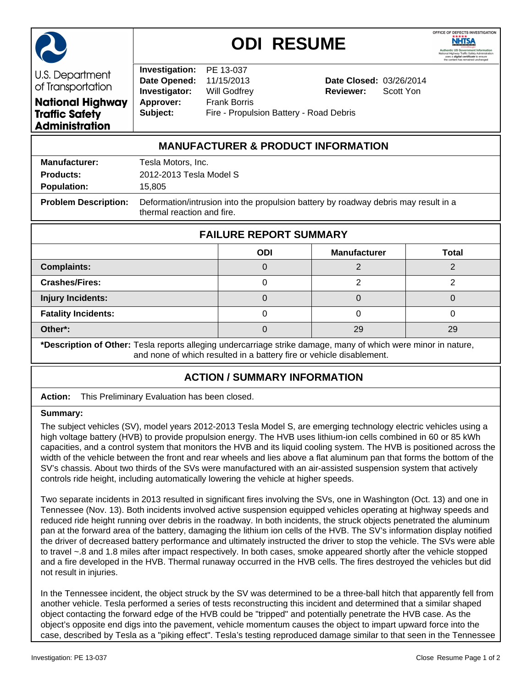

## **ODI RESUME**



U.S. Department of Transportation **National Highway Traffic Safety** 

**Administration** 

**Investigation:** PE 13-037 **Date Opened:** 11/15/2013 **Date Closed:** 03/26/2014 **Investigator:** Will Godfrey **Reviewer:** Scott Yon **Approver:** Frank Borris **Subject:** Fire - Propulsion Battery - Road Debris

## **MANUFACTURER & PRODUCT INFORMATION**

| <b>Manufacturer:</b>        | Tesla Motors, Inc.                                                                                                |
|-----------------------------|-------------------------------------------------------------------------------------------------------------------|
| <b>Products:</b>            | 2012-2013 Tesla Model S                                                                                           |
| <b>Population:</b>          | 15.805                                                                                                            |
| <b>Problem Description:</b> | Deformation/intrusion into the propulsion battery by roadway debris may result in a<br>thermal reaction and fire. |

| <b>FAILURE REPORT SUMMARY</b> |            |                     |              |  |
|-------------------------------|------------|---------------------|--------------|--|
|                               | <b>ODI</b> | <b>Manufacturer</b> | <b>Total</b> |  |
| <b>Complaints:</b>            |            |                     |              |  |
| <b>Crashes/Fires:</b>         |            |                     |              |  |
| <b>Injury Incidents:</b>      |            |                     |              |  |
| <b>Fatality Incidents:</b>    |            |                     |              |  |
| Other*:                       |            | 29                  | 29           |  |

**\*Description of Other:** Tesla reports alleging undercarriage strike damage, many of which were minor in nature, and none of which resulted in a battery fire or vehicle disablement.

## **ACTION / SUMMARY INFORMATION**

|  | <b>Action:</b> This Preliminary Evaluation has been closed. |
|--|-------------------------------------------------------------|
|--|-------------------------------------------------------------|

## **Summary:**

The subject vehicles (SV), model years 2012-2013 Tesla Model S, are emerging technology electric vehicles using a high voltage battery (HVB) to provide propulsion energy. The HVB uses lithium-ion cells combined in 60 or 85 kWh capacities, and a control system that monitors the HVB and its liquid cooling system. The HVB is positioned across the width of the vehicle between the front and rear wheels and lies above a flat aluminum pan that forms the bottom of the SV's chassis. About two thirds of the SVs were manufactured with an air-assisted suspension system that actively controls ride height, including automatically lowering the vehicle at higher speeds.

Two separate incidents in 2013 resulted in significant fires involving the SVs, one in Washington (Oct. 13) and one in Tennessee (Nov. 13). Both incidents involved active suspension equipped vehicles operating at highway speeds and reduced ride height running over debris in the roadway. In both incidents, the struck objects penetrated the aluminum pan at the forward area of the battery, damaging the lithium ion cells of the HVB. The SV's information display notified the driver of decreased battery performance and ultimately instructed the driver to stop the vehicle. The SVs were able to travel ~.8 and 1.8 miles after impact respectively. In both cases, smoke appeared shortly after the vehicle stopped and a fire developed in the HVB. Thermal runaway occurred in the HVB cells. The fires destroyed the vehicles but did not result in injuries.

In the Tennessee incident, the object struck by the SV was determined to be a three-ball hitch that apparently fell from another vehicle. Tesla performed a series of tests reconstructing this incident and determined that a similar shaped object contacting the forward edge of the HVB could be "tripped" and potentially penetrate the HVB case. As the object's opposite end digs into the pavement, vehicle momentum causes the object to impart upward force into the case, described by Tesla as a "piking effect". Tesla's testing reproduced damage similar to that seen in the Tennessee